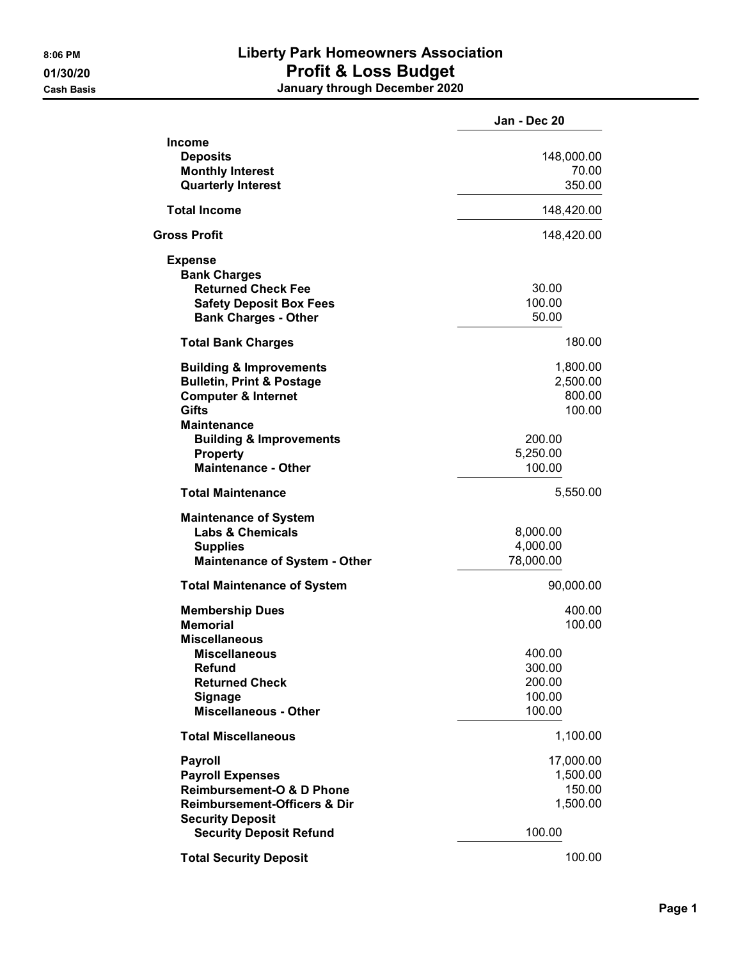## 8:06 PM **Liberty Park Homeowners Association** 01/30/20 **Profit & Loss Budget** Cash Basis January through December 2020

|                                                                                                                                                         | Jan - Dec 20                                   |
|---------------------------------------------------------------------------------------------------------------------------------------------------------|------------------------------------------------|
| <b>Income</b><br><b>Deposits</b><br><b>Monthly Interest</b><br><b>Quarterly Interest</b>                                                                | 148,000.00<br>70.00<br>350.00                  |
| <b>Total Income</b>                                                                                                                                     | 148,420.00                                     |
| <b>Gross Profit</b>                                                                                                                                     | 148,420.00                                     |
| <b>Expense</b><br><b>Bank Charges</b><br><b>Returned Check Fee</b><br><b>Safety Deposit Box Fees</b><br><b>Bank Charges - Other</b>                     | 30.00<br>100.00<br>50.00                       |
| <b>Total Bank Charges</b>                                                                                                                               | 180.00                                         |
| <b>Building &amp; Improvements</b><br><b>Bulletin, Print &amp; Postage</b><br><b>Computer &amp; Internet</b><br><b>Gifts</b><br>Maintenance             | 1,800.00<br>2,500.00<br>800.00<br>100.00       |
| <b>Building &amp; Improvements</b><br><b>Property</b><br><b>Maintenance - Other</b>                                                                     | 200.00<br>5,250.00<br>100.00                   |
| <b>Total Maintenance</b>                                                                                                                                | 5,550.00                                       |
| <b>Maintenance of System</b><br><b>Labs &amp; Chemicals</b><br><b>Supplies</b><br><b>Maintenance of System - Other</b>                                  | 8,000.00<br>4,000.00<br>78,000.00              |
| <b>Total Maintenance of System</b>                                                                                                                      | 90,000.00                                      |
| <b>Membership Dues</b><br><b>Memorial</b><br><b>Miscellaneous</b>                                                                                       | 400.00<br>100.00                               |
| <b>Miscellaneous</b><br><b>Refund</b><br><b>Returned Check</b><br><b>Signage</b><br><b>Miscellaneous - Other</b>                                        | 400.00<br>300.00<br>200.00<br>100.00<br>100.00 |
| <b>Total Miscellaneous</b>                                                                                                                              | 1,100.00                                       |
| <b>Payroll</b><br><b>Payroll Expenses</b><br><b>Reimbursement-O &amp; D Phone</b><br><b>Reimbursement-Officers &amp; Dir</b><br><b>Security Deposit</b> | 17,000.00<br>1,500.00<br>150.00<br>1,500.00    |
| <b>Security Deposit Refund</b>                                                                                                                          | 100.00                                         |
| <b>Total Security Deposit</b>                                                                                                                           | 100.00                                         |